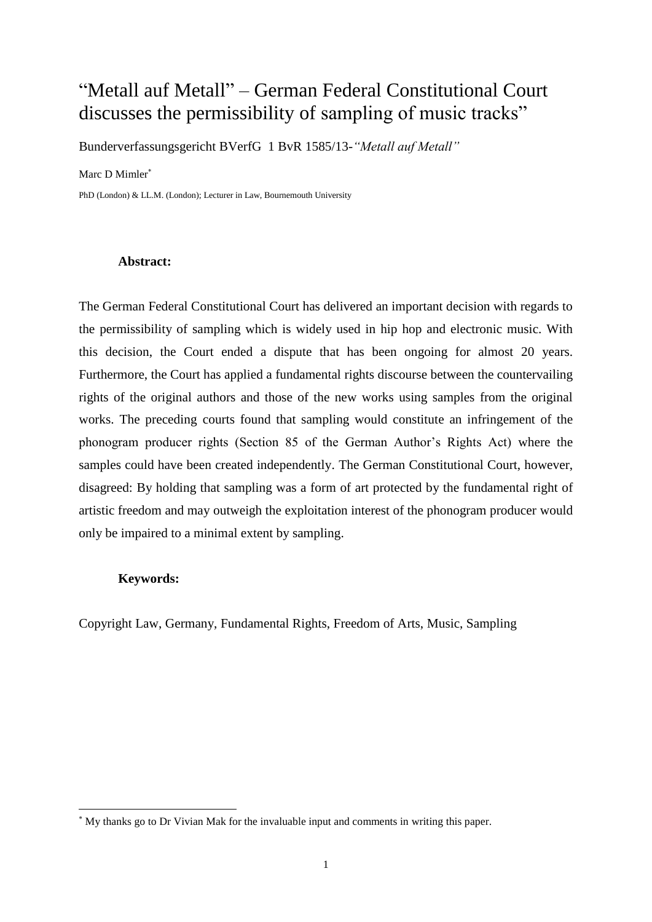# "Metall auf Metall" – German Federal Constitutional Court discusses the permissibility of sampling of music tracks"

Bunderverfassungsgericht BVerfG 1 BvR 1585/13-*"Metall auf Metall"*

Marc D Mimler

PhD (London) & LL.M. (London); Lecturer in Law, Bournemouth University

## **Abstract:**

The German Federal Constitutional Court has delivered an important decision with regards to the permissibility of sampling which is widely used in hip hop and electronic music. With this decision, the Court ended a dispute that has been ongoing for almost 20 years. Furthermore, the Court has applied a fundamental rights discourse between the countervailing rights of the original authors and those of the new works using samples from the original works. The preceding courts found that sampling would constitute an infringement of the phonogram producer rights (Section 85 of the German Author's Rights Act) where the samples could have been created independently. The German Constitutional Court, however, disagreed: By holding that sampling was a form of art protected by the fundamental right of artistic freedom and may outweigh the exploitation interest of the phonogram producer would only be impaired to a minimal extent by sampling.

#### **Keywords:**

1

Copyright Law, Germany, Fundamental Rights, Freedom of Arts, Music, Sampling

My thanks go to Dr Vivian Mak for the invaluable input and comments in writing this paper.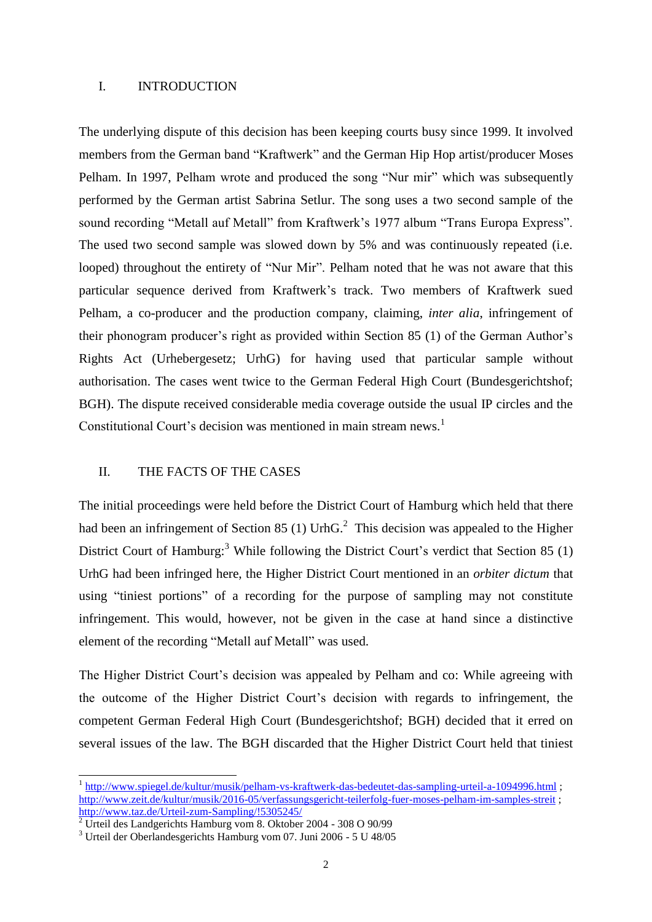#### I. INTRODUCTION

The underlying dispute of this decision has been keeping courts busy since 1999. It involved members from the German band "Kraftwerk" and the German Hip Hop artist/producer Moses Pelham. In 1997, Pelham wrote and produced the song "Nur mir" which was subsequently performed by the German artist Sabrina Setlur. The song uses a two second sample of the sound recording "Metall auf Metall" from Kraftwerk's 1977 album "Trans Europa Express". The used two second sample was slowed down by 5% and was continuously repeated (i.e. looped) throughout the entirety of "Nur Mir". Pelham noted that he was not aware that this particular sequence derived from Kraftwerk's track. Two members of Kraftwerk sued Pelham, a co-producer and the production company, claiming, *inter alia*, infringement of their phonogram producer's right as provided within Section 85 (1) of the German Author's Rights Act (Urhebergesetz; UrhG) for having used that particular sample without authorisation. The cases went twice to the German Federal High Court (Bundesgerichtshof; BGH). The dispute received considerable media coverage outside the usual IP circles and the Constitutional Court's decision was mentioned in main stream news.<sup>1</sup>

### II. THE FACTS OF THE CASES

The initial proceedings were held before the District Court of Hamburg which held that there had been an infringement of Section 85 (1) UrhG.<sup>2</sup> This decision was appealed to the Higher District Court of Hamburg:<sup>3</sup> While following the District Court's verdict that Section 85 (1) UrhG had been infringed here, the Higher District Court mentioned in an *orbiter dictum* that using "tiniest portions" of a recording for the purpose of sampling may not constitute infringement. This would, however, not be given in the case at hand since a distinctive element of the recording "Metall auf Metall" was used.

The Higher District Court's decision was appealed by Pelham and co: While agreeing with the outcome of the Higher District Court's decision with regards to infringement, the competent German Federal High Court (Bundesgerichtshof; BGH) decided that it erred on several issues of the law. The BGH discarded that the Higher District Court held that tiniest

<sup>-&</sup>lt;br><sup>1</sup> <http://www.spiegel.de/kultur/musik/pelham-vs-kraftwerk-das-bedeutet-das-sampling-urteil-a-1094996.html> ; <http://www.zeit.de/kultur/musik/2016-05/verfassungsgericht-teilerfolg-fuer-moses-pelham-im-samples-streit>; <http://www.taz.de/Urteil-zum-Sampling/!5305245/>

 $\frac{2}{3}$  Urteil des Landgerichts Hamburg vom 8. Oktober 2004 - 308 O 90/99

<sup>3</sup> Urteil der Oberlandesgerichts Hamburg vom 07. Juni 2006 - 5 U 48/05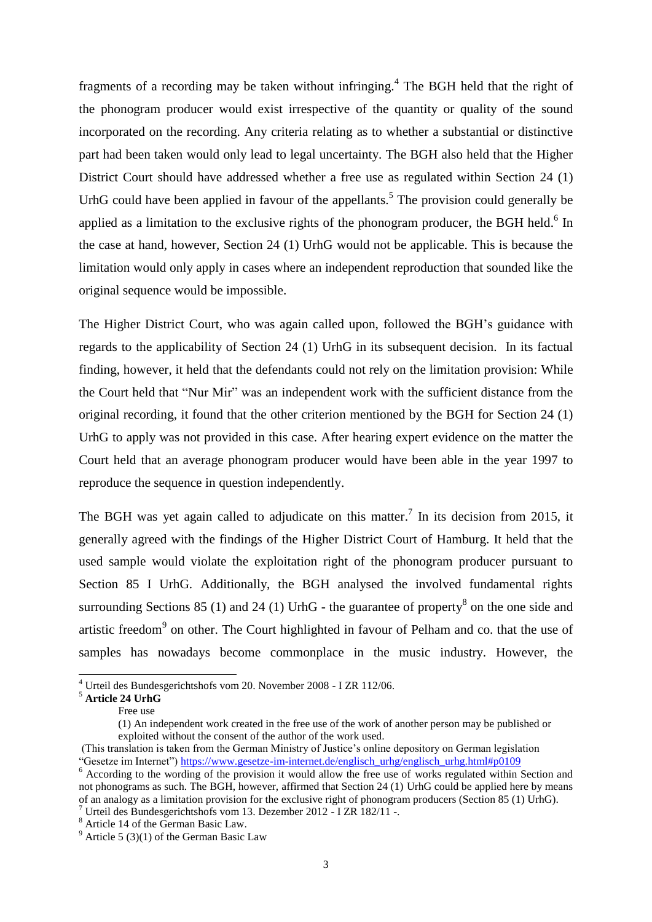fragments of a recording may be taken without infringing.<sup>4</sup> The BGH held that the right of the phonogram producer would exist irrespective of the quantity or quality of the sound incorporated on the recording. Any criteria relating as to whether a substantial or distinctive part had been taken would only lead to legal uncertainty. The BGH also held that the Higher District Court should have addressed whether a free use as regulated within Section 24 (1) UrhG could have been applied in favour of the appellants.<sup>5</sup> The provision could generally be applied as a limitation to the exclusive rights of the phonogram producer, the BGH held.<sup>6</sup> In the case at hand, however, Section 24 (1) UrhG would not be applicable. This is because the limitation would only apply in cases where an independent reproduction that sounded like the original sequence would be impossible.

The Higher District Court, who was again called upon, followed the BGH's guidance with regards to the applicability of Section 24 (1) UrhG in its subsequent decision. In its factual finding, however, it held that the defendants could not rely on the limitation provision: While the Court held that "Nur Mir" was an independent work with the sufficient distance from the original recording, it found that the other criterion mentioned by the BGH for Section 24 (1) UrhG to apply was not provided in this case. After hearing expert evidence on the matter the Court held that an average phonogram producer would have been able in the year 1997 to reproduce the sequence in question independently.

The BGH was yet again called to adjudicate on this matter.<sup>7</sup> In its decision from 2015, it generally agreed with the findings of the Higher District Court of Hamburg. It held that the used sample would violate the exploitation right of the phonogram producer pursuant to Section 85 I UrhG. Additionally, the BGH analysed the involved fundamental rights surrounding Sections 85 (1) and 24 (1) UrhG - the guarantee of property<sup>8</sup> on the one side and artistic freedom<sup>9</sup> on other. The Court highlighted in favour of Pelham and co. that the use of samples has nowadays become commonplace in the music industry. However, the

 $\overline{a}$ 

(This translation is taken from the German Ministry of Justice's online depository on German legislation "Gesetze im Internet") [https://www.gesetze-im-internet.de/englisch\\_urhg/englisch\\_urhg.html#p0109](https://www.gesetze-im-internet.de/englisch_urhg/englisch_urhg.html#p0109)

<sup>4</sup> Urteil des Bundesgerichtshofs vom 20. November 2008 - I ZR 112/06.

<sup>5</sup> **Article 24 UrhG**

Free use

<sup>(1)</sup> An independent work created in the free use of the work of another person may be published or exploited without the consent of the author of the work used.

<sup>&</sup>lt;sup>6</sup> According to the wording of the provision it would allow the free use of works regulated within Section and not phonograms as such. The BGH, however, affirmed that Section 24 (1) UrhG could be applied here by means of an analogy as a limitation provision for the exclusive right of phonogram producers (Section 85 (1) UrhG).  $^7$  Urteil des Bundesgerichtshofs vom 13. Dezember 2012 - I ZR 182/11 -.

<sup>&</sup>lt;sup>8</sup> Article 14 of the German Basic Law.

 $9$  Article 5 (3)(1) of the German Basic Law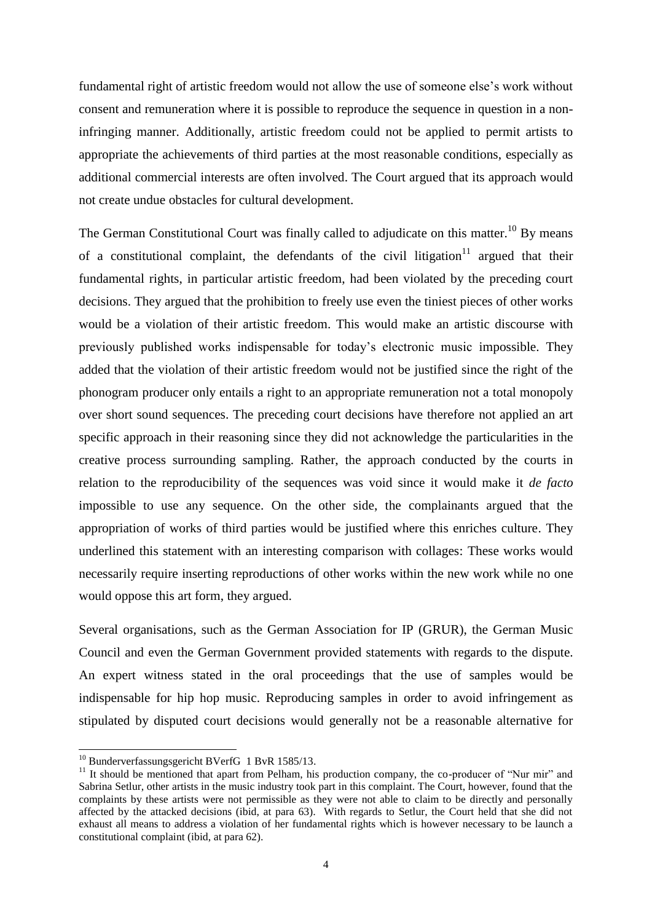fundamental right of artistic freedom would not allow the use of someone else's work without consent and remuneration where it is possible to reproduce the sequence in question in a noninfringing manner. Additionally, artistic freedom could not be applied to permit artists to appropriate the achievements of third parties at the most reasonable conditions, especially as additional commercial interests are often involved. The Court argued that its approach would not create undue obstacles for cultural development.

The German Constitutional Court was finally called to adjudicate on this matter.<sup>10</sup> By means of a constitutional complaint, the defendants of the civil litigation<sup>11</sup> argued that their fundamental rights, in particular artistic freedom, had been violated by the preceding court decisions. They argued that the prohibition to freely use even the tiniest pieces of other works would be a violation of their artistic freedom. This would make an artistic discourse with previously published works indispensable for today's electronic music impossible. They added that the violation of their artistic freedom would not be justified since the right of the phonogram producer only entails a right to an appropriate remuneration not a total monopoly over short sound sequences. The preceding court decisions have therefore not applied an art specific approach in their reasoning since they did not acknowledge the particularities in the creative process surrounding sampling. Rather, the approach conducted by the courts in relation to the reproducibility of the sequences was void since it would make it *de facto* impossible to use any sequence. On the other side, the complainants argued that the appropriation of works of third parties would be justified where this enriches culture. They underlined this statement with an interesting comparison with collages: These works would necessarily require inserting reproductions of other works within the new work while no one would oppose this art form, they argued.

Several organisations, such as the German Association for IP (GRUR), the German Music Council and even the German Government provided statements with regards to the dispute. An expert witness stated in the oral proceedings that the use of samples would be indispensable for hip hop music. Reproducing samples in order to avoid infringement as stipulated by disputed court decisions would generally not be a reasonable alternative for

 $\overline{a}$ 

 $10$  Bunderverfassungsgericht BVerfG 1 BvR 1585/13.

<sup>&</sup>lt;sup>11</sup> It should be mentioned that apart from Pelham, his production company, the co-producer of "Nur mir" and Sabrina Setlur, other artists in the music industry took part in this complaint. The Court, however, found that the complaints by these artists were not permissible as they were not able to claim to be directly and personally affected by the attacked decisions (ibid, at para 63). With regards to Setlur, the Court held that she did not exhaust all means to address a violation of her fundamental rights which is however necessary to be launch a constitutional complaint (ibid, at para 62).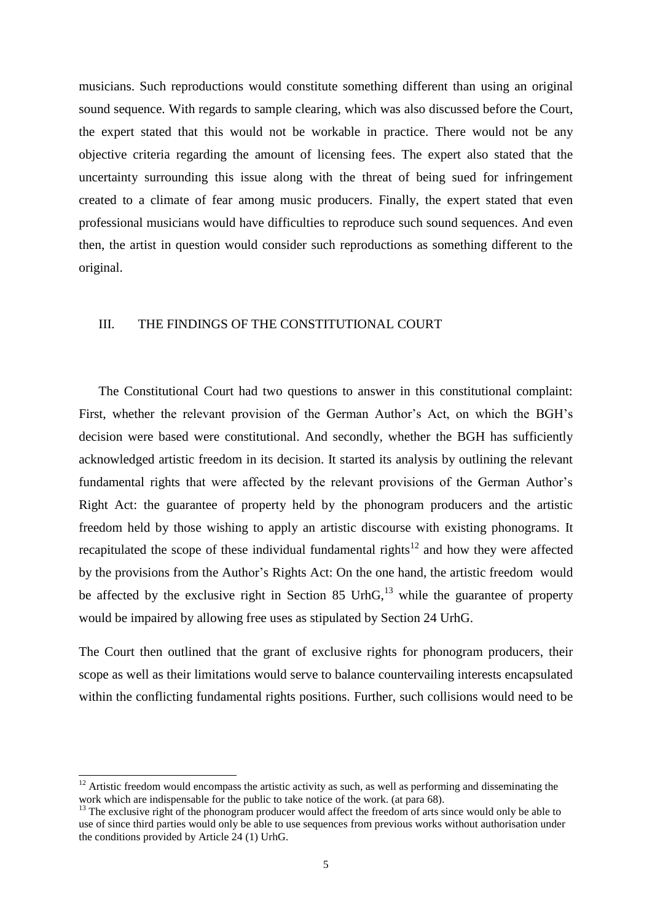musicians. Such reproductions would constitute something different than using an original sound sequence. With regards to sample clearing, which was also discussed before the Court, the expert stated that this would not be workable in practice. There would not be any objective criteria regarding the amount of licensing fees. The expert also stated that the uncertainty surrounding this issue along with the threat of being sued for infringement created to a climate of fear among music producers. Finally, the expert stated that even professional musicians would have difficulties to reproduce such sound sequences. And even then, the artist in question would consider such reproductions as something different to the original.

## III. THE FINDINGS OF THE CONSTITUTIONAL COURT

The Constitutional Court had two questions to answer in this constitutional complaint: First, whether the relevant provision of the German Author's Act, on which the BGH's decision were based were constitutional. And secondly, whether the BGH has sufficiently acknowledged artistic freedom in its decision. It started its analysis by outlining the relevant fundamental rights that were affected by the relevant provisions of the German Author's Right Act: the guarantee of property held by the phonogram producers and the artistic freedom held by those wishing to apply an artistic discourse with existing phonograms. It recapitulated the scope of these individual fundamental rights<sup>12</sup> and how they were affected by the provisions from the Author's Rights Act: On the one hand, the artistic freedom would be affected by the exclusive right in Section 85 Urh $G<sub>13</sub>$  while the guarantee of property would be impaired by allowing free uses as stipulated by Section 24 UrhG.

The Court then outlined that the grant of exclusive rights for phonogram producers, their scope as well as their limitations would serve to balance countervailing interests encapsulated within the conflicting fundamental rights positions. Further, such collisions would need to be

-

 $12$  Artistic freedom would encompass the artistic activity as such, as well as performing and disseminating the work which are indispensable for the public to take notice of the work. (at para 68).

<sup>&</sup>lt;sup>13</sup> The exclusive right of the phonogram producer would affect the freedom of arts since would only be able to use of since third parties would only be able to use sequences from previous works without authorisation under the conditions provided by Article 24 (1) UrhG.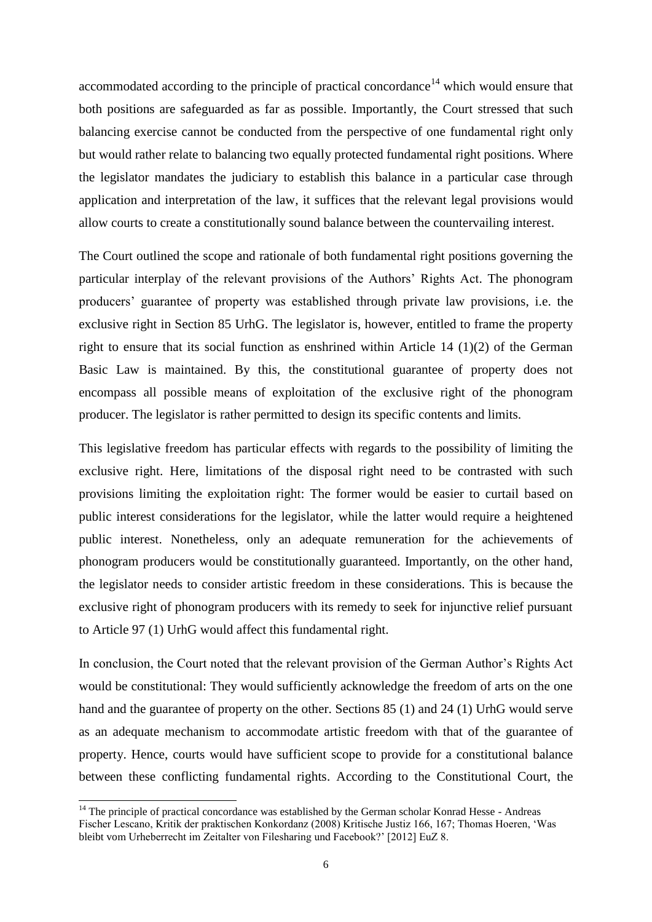accommodated according to the principle of practical concordance<sup>14</sup> which would ensure that both positions are safeguarded as far as possible. Importantly, the Court stressed that such balancing exercise cannot be conducted from the perspective of one fundamental right only but would rather relate to balancing two equally protected fundamental right positions. Where the legislator mandates the judiciary to establish this balance in a particular case through application and interpretation of the law, it suffices that the relevant legal provisions would allow courts to create a constitutionally sound balance between the countervailing interest.

The Court outlined the scope and rationale of both fundamental right positions governing the particular interplay of the relevant provisions of the Authors' Rights Act. The phonogram producers' guarantee of property was established through private law provisions, i.e. the exclusive right in Section 85 UrhG. The legislator is, however, entitled to frame the property right to ensure that its social function as enshrined within Article 14 (1)(2) of the German Basic Law is maintained. By this, the constitutional guarantee of property does not encompass all possible means of exploitation of the exclusive right of the phonogram producer. The legislator is rather permitted to design its specific contents and limits.

This legislative freedom has particular effects with regards to the possibility of limiting the exclusive right. Here, limitations of the disposal right need to be contrasted with such provisions limiting the exploitation right: The former would be easier to curtail based on public interest considerations for the legislator, while the latter would require a heightened public interest. Nonetheless, only an adequate remuneration for the achievements of phonogram producers would be constitutionally guaranteed. Importantly, on the other hand, the legislator needs to consider artistic freedom in these considerations. This is because the exclusive right of phonogram producers with its remedy to seek for injunctive relief pursuant to Article 97 (1) UrhG would affect this fundamental right.

In conclusion, the Court noted that the relevant provision of the German Author's Rights Act would be constitutional: They would sufficiently acknowledge the freedom of arts on the one hand and the guarantee of property on the other. Sections 85 (1) and 24 (1) UrhG would serve as an adequate mechanism to accommodate artistic freedom with that of the guarantee of property. Hence, courts would have sufficient scope to provide for a constitutional balance between these conflicting fundamental rights. According to the Constitutional Court, the

 $\overline{a}$ 

<sup>&</sup>lt;sup>14</sup> The principle of practical concordance was established by the German scholar Konrad Hesse - Andreas Fischer Lescano, Kritik der praktischen Konkordanz (2008) Kritische Justiz 166, 167; Thomas Hoeren, 'Was bleibt vom Urheberrecht im Zeitalter von Filesharing und Facebook?' [2012] EuZ 8.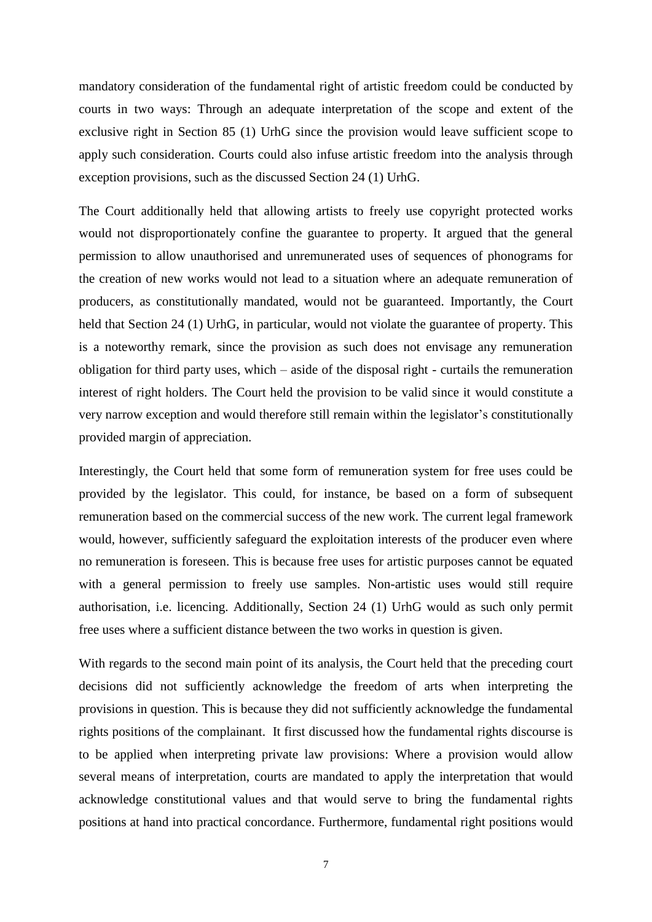mandatory consideration of the fundamental right of artistic freedom could be conducted by courts in two ways: Through an adequate interpretation of the scope and extent of the exclusive right in Section 85 (1) UrhG since the provision would leave sufficient scope to apply such consideration. Courts could also infuse artistic freedom into the analysis through exception provisions, such as the discussed Section 24 (1) UrhG.

The Court additionally held that allowing artists to freely use copyright protected works would not disproportionately confine the guarantee to property. It argued that the general permission to allow unauthorised and unremunerated uses of sequences of phonograms for the creation of new works would not lead to a situation where an adequate remuneration of producers, as constitutionally mandated, would not be guaranteed. Importantly, the Court held that Section 24 (1) UrhG, in particular, would not violate the guarantee of property. This is a noteworthy remark, since the provision as such does not envisage any remuneration obligation for third party uses, which – aside of the disposal right - curtails the remuneration interest of right holders. The Court held the provision to be valid since it would constitute a very narrow exception and would therefore still remain within the legislator's constitutionally provided margin of appreciation.

Interestingly, the Court held that some form of remuneration system for free uses could be provided by the legislator. This could, for instance, be based on a form of subsequent remuneration based on the commercial success of the new work. The current legal framework would, however, sufficiently safeguard the exploitation interests of the producer even where no remuneration is foreseen. This is because free uses for artistic purposes cannot be equated with a general permission to freely use samples. Non-artistic uses would still require authorisation, i.e. licencing. Additionally, Section 24 (1) UrhG would as such only permit free uses where a sufficient distance between the two works in question is given.

With regards to the second main point of its analysis, the Court held that the preceding court decisions did not sufficiently acknowledge the freedom of arts when interpreting the provisions in question. This is because they did not sufficiently acknowledge the fundamental rights positions of the complainant. It first discussed how the fundamental rights discourse is to be applied when interpreting private law provisions: Where a provision would allow several means of interpretation, courts are mandated to apply the interpretation that would acknowledge constitutional values and that would serve to bring the fundamental rights positions at hand into practical concordance. Furthermore, fundamental right positions would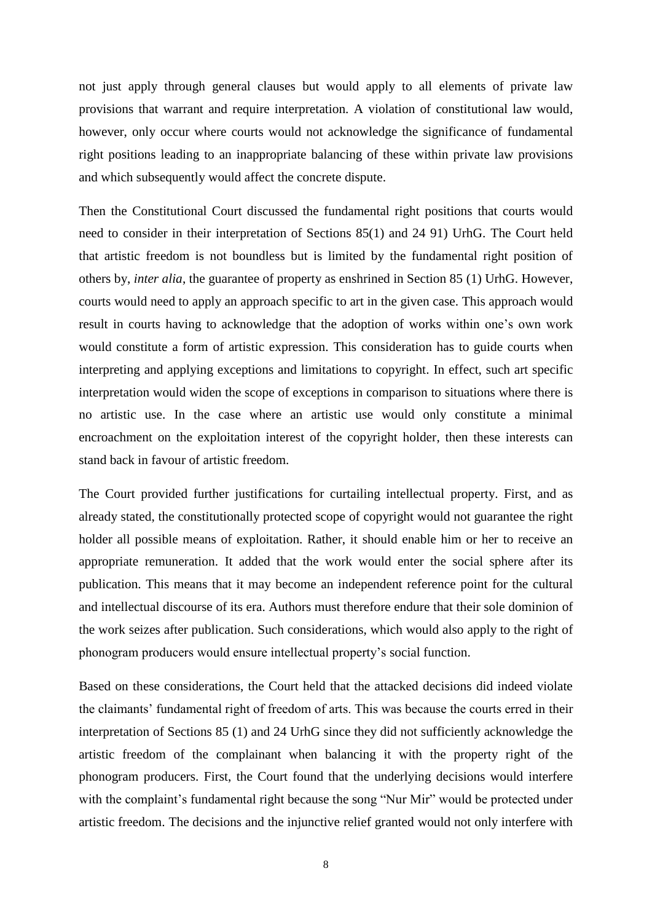not just apply through general clauses but would apply to all elements of private law provisions that warrant and require interpretation. A violation of constitutional law would, however, only occur where courts would not acknowledge the significance of fundamental right positions leading to an inappropriate balancing of these within private law provisions and which subsequently would affect the concrete dispute.

Then the Constitutional Court discussed the fundamental right positions that courts would need to consider in their interpretation of Sections 85(1) and 24 91) UrhG. The Court held that artistic freedom is not boundless but is limited by the fundamental right position of others by, *inter alia*, the guarantee of property as enshrined in Section 85 (1) UrhG. However, courts would need to apply an approach specific to art in the given case. This approach would result in courts having to acknowledge that the adoption of works within one's own work would constitute a form of artistic expression. This consideration has to guide courts when interpreting and applying exceptions and limitations to copyright. In effect, such art specific interpretation would widen the scope of exceptions in comparison to situations where there is no artistic use. In the case where an artistic use would only constitute a minimal encroachment on the exploitation interest of the copyright holder, then these interests can stand back in favour of artistic freedom.

The Court provided further justifications for curtailing intellectual property. First, and as already stated, the constitutionally protected scope of copyright would not guarantee the right holder all possible means of exploitation. Rather, it should enable him or her to receive an appropriate remuneration. It added that the work would enter the social sphere after its publication. This means that it may become an independent reference point for the cultural and intellectual discourse of its era. Authors must therefore endure that their sole dominion of the work seizes after publication. Such considerations, which would also apply to the right of phonogram producers would ensure intellectual property's social function.

Based on these considerations, the Court held that the attacked decisions did indeed violate the claimants' fundamental right of freedom of arts. This was because the courts erred in their interpretation of Sections 85 (1) and 24 UrhG since they did not sufficiently acknowledge the artistic freedom of the complainant when balancing it with the property right of the phonogram producers. First, the Court found that the underlying decisions would interfere with the complaint's fundamental right because the song "Nur Mir" would be protected under artistic freedom. The decisions and the injunctive relief granted would not only interfere with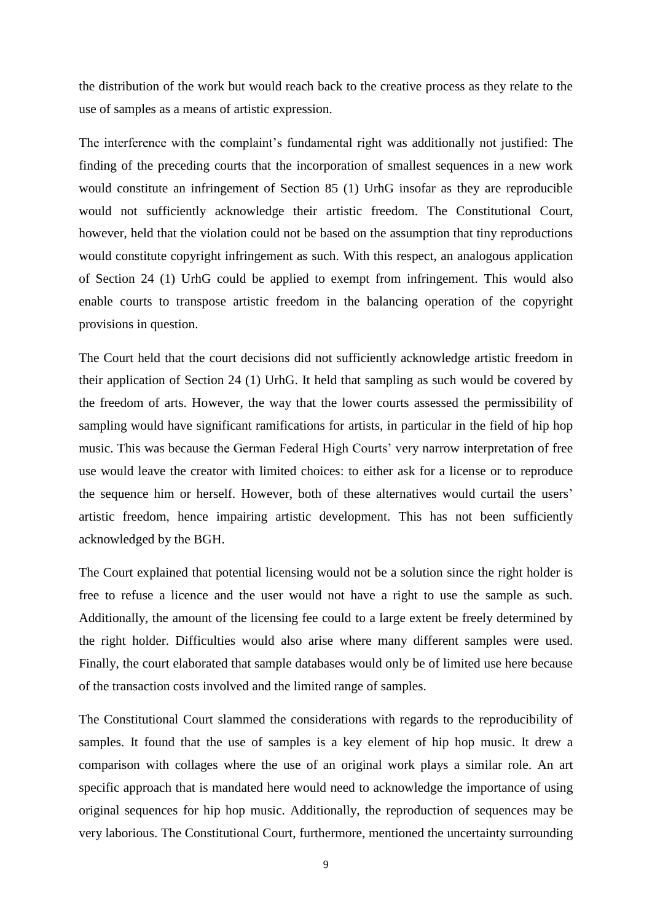the distribution of the work but would reach back to the creative process as they relate to the use of samples as a means of artistic expression.

The interference with the complaint's fundamental right was additionally not justified: The finding of the preceding courts that the incorporation of smallest sequences in a new work would constitute an infringement of Section 85 (1) UrhG insofar as they are reproducible would not sufficiently acknowledge their artistic freedom. The Constitutional Court, however, held that the violation could not be based on the assumption that tiny reproductions would constitute copyright infringement as such. With this respect, an analogous application of Section 24 (1) UrhG could be applied to exempt from infringement. This would also enable courts to transpose artistic freedom in the balancing operation of the copyright provisions in question.

The Court held that the court decisions did not sufficiently acknowledge artistic freedom in their application of Section 24 (1) UrhG. It held that sampling as such would be covered by the freedom of arts. However, the way that the lower courts assessed the permissibility of sampling would have significant ramifications for artists, in particular in the field of hip hop music. This was because the German Federal High Courts' very narrow interpretation of free use would leave the creator with limited choices: to either ask for a license or to reproduce the sequence him or herself. However, both of these alternatives would curtail the users' artistic freedom, hence impairing artistic development. This has not been sufficiently acknowledged by the BGH.

The Court explained that potential licensing would not be a solution since the right holder is free to refuse a licence and the user would not have a right to use the sample as such. Additionally, the amount of the licensing fee could to a large extent be freely determined by the right holder. Difficulties would also arise where many different samples were used. Finally, the court elaborated that sample databases would only be of limited use here because of the transaction costs involved and the limited range of samples.

The Constitutional Court slammed the considerations with regards to the reproducibility of samples. It found that the use of samples is a key element of hip hop music. It drew a comparison with collages where the use of an original work plays a similar role. An art specific approach that is mandated here would need to acknowledge the importance of using original sequences for hip hop music. Additionally, the reproduction of sequences may be very laborious. The Constitutional Court, furthermore, mentioned the uncertainty surrounding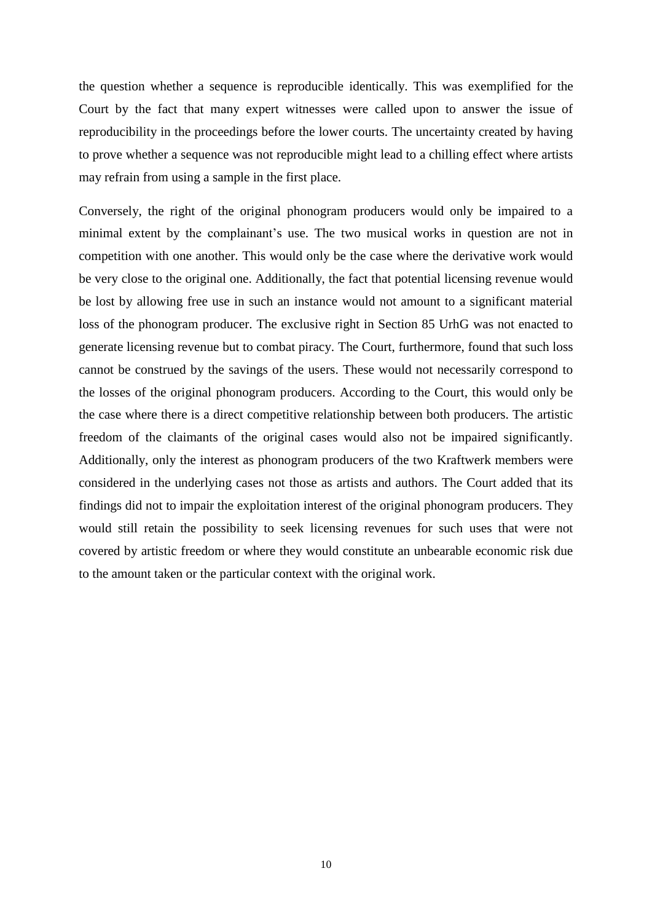the question whether a sequence is reproducible identically. This was exemplified for the Court by the fact that many expert witnesses were called upon to answer the issue of reproducibility in the proceedings before the lower courts. The uncertainty created by having to prove whether a sequence was not reproducible might lead to a chilling effect where artists may refrain from using a sample in the first place.

Conversely, the right of the original phonogram producers would only be impaired to a minimal extent by the complainant's use. The two musical works in question are not in competition with one another. This would only be the case where the derivative work would be very close to the original one. Additionally, the fact that potential licensing revenue would be lost by allowing free use in such an instance would not amount to a significant material loss of the phonogram producer. The exclusive right in Section 85 UrhG was not enacted to generate licensing revenue but to combat piracy. The Court, furthermore, found that such loss cannot be construed by the savings of the users. These would not necessarily correspond to the losses of the original phonogram producers. According to the Court, this would only be the case where there is a direct competitive relationship between both producers. The artistic freedom of the claimants of the original cases would also not be impaired significantly. Additionally, only the interest as phonogram producers of the two Kraftwerk members were considered in the underlying cases not those as artists and authors. The Court added that its findings did not to impair the exploitation interest of the original phonogram producers. They would still retain the possibility to seek licensing revenues for such uses that were not covered by artistic freedom or where they would constitute an unbearable economic risk due to the amount taken or the particular context with the original work.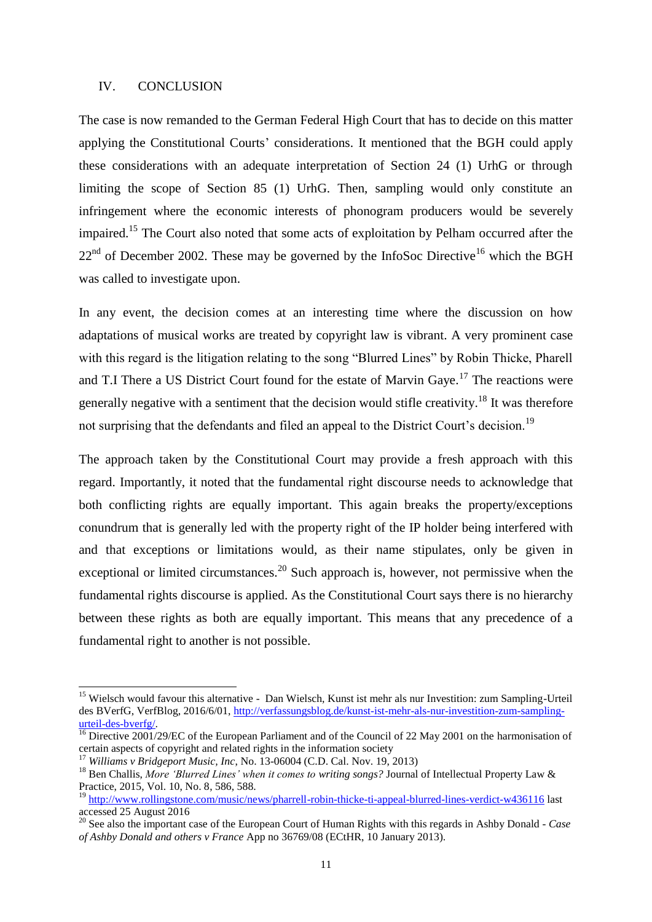#### IV. CONCLUSION

The case is now remanded to the German Federal High Court that has to decide on this matter applying the Constitutional Courts' considerations. It mentioned that the BGH could apply these considerations with an adequate interpretation of Section 24 (1) UrhG or through limiting the scope of Section 85 (1) UrhG. Then, sampling would only constitute an infringement where the economic interests of phonogram producers would be severely impaired.<sup>15</sup> The Court also noted that some acts of exploitation by Pelham occurred after the  $22<sup>nd</sup>$  of December 2002. These may be governed by the InfoSoc Directive<sup>16</sup> which the BGH was called to investigate upon.

In any event, the decision comes at an interesting time where the discussion on how adaptations of musical works are treated by copyright law is vibrant. A very prominent case with this regard is the litigation relating to the song "Blurred Lines" by Robin Thicke, Pharell and T.I There a US District Court found for the estate of Marvin Gaye.<sup>17</sup> The reactions were generally negative with a sentiment that the decision would stifle creativity.<sup>18</sup> It was therefore not surprising that the defendants and filed an appeal to the District Court's decision.<sup>19</sup>

The approach taken by the Constitutional Court may provide a fresh approach with this regard. Importantly, it noted that the fundamental right discourse needs to acknowledge that both conflicting rights are equally important. This again breaks the property/exceptions conundrum that is generally led with the property right of the IP holder being interfered with and that exceptions or limitations would, as their name stipulates, only be given in exceptional or limited circumstances.<sup>20</sup> Such approach is, however, not permissive when the fundamental rights discourse is applied. As the Constitutional Court says there is no hierarchy between these rights as both are equally important. This means that any precedence of a fundamental right to another is not possible.

-

<sup>&</sup>lt;sup>15</sup> Wielsch would favour this alternative - Dan Wielsch, Kunst ist mehr als nur Investition: zum Sampling-Urteil des BVerfG, VerfBlog, 2016/6/01, [http://verfassungsblog.de/kunst-ist-mehr-als-nur-investition-zum-sampling](http://verfassungsblog.de/kunst-ist-mehr-als-nur-investition-zum-sampling-urteil-des-bverfg/)[urteil-des-bverfg/.](http://verfassungsblog.de/kunst-ist-mehr-als-nur-investition-zum-sampling-urteil-des-bverfg/)

 $\frac{16}{16}$  Directive 2001/29/EC of the European Parliament and of the Council of 22 May 2001 on the harmonisation of certain aspects of copyright and related rights in the information society

<sup>17</sup> *Williams v Bridgeport Music, Inc*, No. 13-06004 (C.D. Cal. Nov. 19, 2013)

<sup>18</sup> Ben Challis, *More 'Blurred Lines' when it comes to writing songs?* Journal of Intellectual Property Law & Practice, 2015, Vol. 10, No. 8, 586, 588.

<sup>&</sup>lt;sup>19</sup> <http://www.rollingstone.com/music/news/pharrell-robin-thicke-ti-appeal-blurred-lines-verdict-w436116> last accessed 25 August 2016

<sup>20</sup> See also the important case of the European Court of Human Rights with this regards in Ashby Donald - *Case of Ashby Donald and others v France* App no 36769/08 (ECtHR, 10 January 2013).